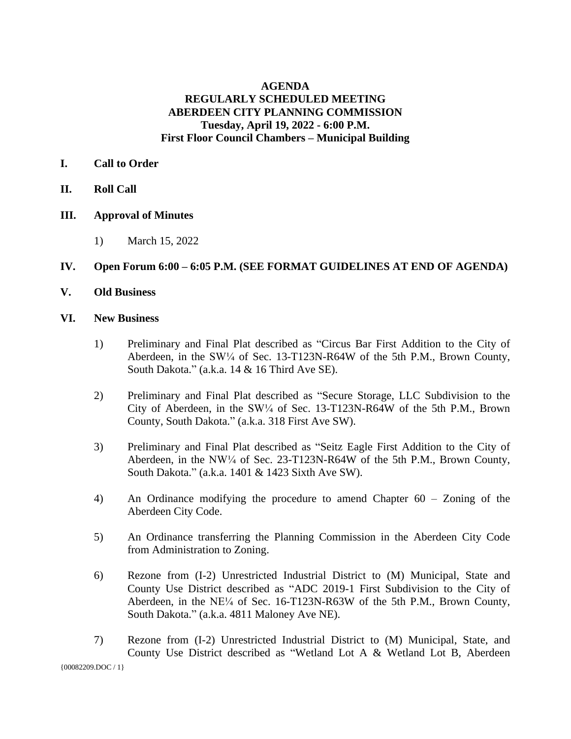# **AGENDA REGULARLY SCHEDULED MEETING ABERDEEN CITY PLANNING COMMISSION Tuesday, April 19, 2022 - 6:00 P.M. First Floor Council Chambers – Municipal Building**

- **I. Call to Order**
- **II. Roll Call**
- **III. Approval of Minutes**
	- 1) March 15, 2022

## **IV. Open Forum 6:00 – 6:05 P.M. (SEE FORMAT GUIDELINES AT END OF AGENDA)**

**V. Old Business**

## **VI. New Business**

- 1) Preliminary and Final Plat described as "Circus Bar First Addition to the City of Aberdeen, in the SW<sup>1/4</sup> of Sec. 13-T123N-R64W of the 5th P.M., Brown County, South Dakota." (a.k.a. 14 & 16 Third Ave SE).
- 2) Preliminary and Final Plat described as "Secure Storage, LLC Subdivision to the City of Aberdeen, in the  $SW\frac{1}{4}$  of Sec. 13-T123N-R64W of the 5th P.M., Brown County, South Dakota." (a.k.a. 318 First Ave SW).
- 3) Preliminary and Final Plat described as "Seitz Eagle First Addition to the City of Aberdeen, in the NW<sup>1/4</sup> of Sec. 23-T123N-R64W of the 5th P.M., Brown County, South Dakota." (a.k.a. 1401 & 1423 Sixth Ave SW).
- 4) An Ordinance modifying the procedure to amend Chapter 60 Zoning of the Aberdeen City Code.
- 5) An Ordinance transferring the Planning Commission in the Aberdeen City Code from Administration to Zoning.
- 6) Rezone from (I-2) Unrestricted Industrial District to (M) Municipal, State and County Use District described as "ADC 2019-1 First Subdivision to the City of Aberdeen, in the NE¼ of Sec. 16-T123N-R63W of the 5th P.M., Brown County, South Dakota." (a.k.a. 4811 Maloney Ave NE).
- 7) Rezone from (I-2) Unrestricted Industrial District to (M) Municipal, State, and County Use District described as "Wetland Lot A & Wetland Lot B, Aberdeen